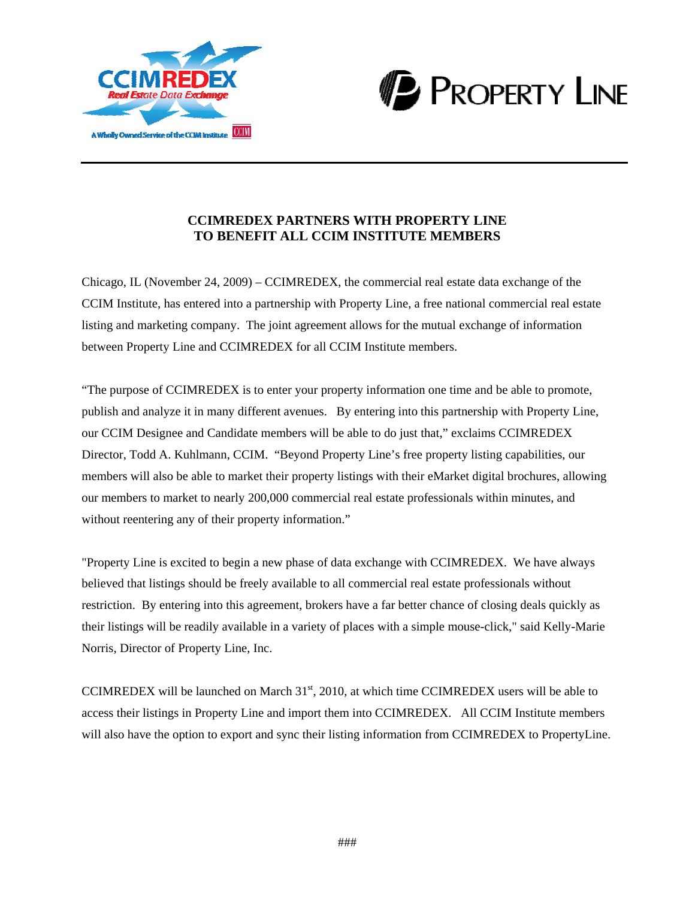



# **CCIMREDEX PARTNERS WITH PROPERTY LINE TO BENEFIT ALL CCIM INSTITUTE MEMBERS**

Chicago, IL (November 24, 2009) – CCIMREDEX, the commercial real estate data exchange of the CCIM Institute, has entered into a partnership with Property Line, a free national commercial real estate listing and marketing company. The joint agreement allows for the mutual exchange of information between Property Line and CCIMREDEX for all CCIM Institute members.

"The purpose of CCIMREDEX is to enter your property information one time and be able to promote, publish and analyze it in many different avenues. By entering into this partnership with Property Line, our CCIM Designee and Candidate members will be able to do just that," exclaims CCIMREDEX Director, Todd A. Kuhlmann, CCIM. "Beyond Property Line's free property listing capabilities, our members will also be able to market their property listings with their eMarket digital brochures, allowing our members to market to nearly 200,000 commercial real estate professionals within minutes, and without reentering any of their property information."

"Property Line is excited to begin a new phase of data exchange with CCIMREDEX. We have always believed that listings should be freely available to all commercial real estate professionals without restriction. By entering into this agreement, brokers have a far better chance of closing deals quickly as their listings will be readily available in a variety of places with a simple mouse-click," said Kelly-Marie Norris, Director of Property Line, Inc.

CCIMREDEX will be launched on March  $31<sup>st</sup>$ , 2010, at which time CCIMREDEX users will be able to access their listings in Property Line and import them into CCIMREDEX. All CCIM Institute members will also have the option to export and sync their listing information from CCIMREDEX to PropertyLine.